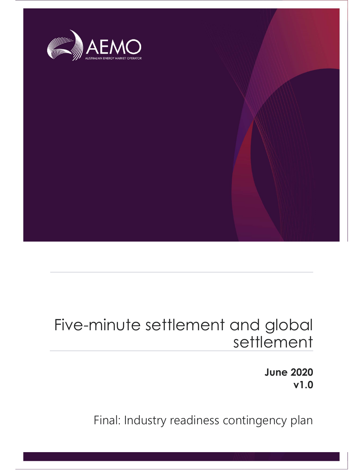

# Five-minute settlement and global settlement

June 2020 v1.0

Final: Industry readiness contingency plan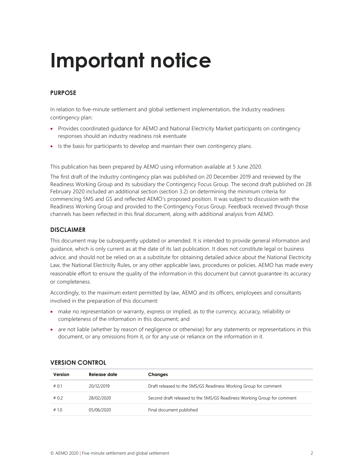# Important notice

#### PURPOSE

In relation to five-minute settlement and global settlement implementation, the Industry readiness contingency plan:

- Provides coordinated guidance for AEMO and National Electricity Market participants on contingency responses should an industry readiness risk eventuate
- Is the basis for participants to develop and maintain their own contingency plans.

This publication has been prepared by AEMO using information available at 5 June 2020.

The first draft of the Industry contingency plan was published on 20 December 2019 and reviewed by the Readiness Working Group and its subsidiary the Contingency Focus Group. The second draft published on 28 February 2020 included an additional section (section 3.2) on determining the minimum criteria for commencing 5MS and GS and reflected AEMO's proposed position. It was subject to discussion with the Readiness Working Group and provided to the Contingency Focus Group. Feedback received through those channels has been reflected in this final document, along with additional analysis from AEMO.

#### DISCLAIMER

This document may be subsequently updated or amended. It is intended to provide general information and guidance, which is only current as at the date of its last publication. It does not constitute legal or business advice, and should not be relied on as a substitute for obtaining detailed advice about the National Electricity Law, the National Electricity Rules, or any other applicable laws, procedures or policies. AEMO has made every reasonable effort to ensure the quality of the information in this document but cannot guarantee its accuracy or completeness.

Accordingly, to the maximum extent permitted by law, AEMO and its officers, employees and consultants involved in the preparation of this document:

- make no representation or warranty, express or implied, as to the currency, accuracy, reliability or completeness of the information in this document; and
- are not liable (whether by reason of negligence or otherwise) for any statements or representations in this document, or any omissions from it, or for any use or reliance on the information in it.

| Version | Release date | Changes                                                                 |
|---------|--------------|-------------------------------------------------------------------------|
| #0.1    | 20/12/2019   | Draft released to the 5MS/GS Readiness Working Group for comment        |
| #0.2    | 28/02/2020   | Second draft released to the 5MS/GS Readiness Working Group for comment |
| #1.0    | 05/06/2020   | Final document published                                                |

#### VERSION CONTROL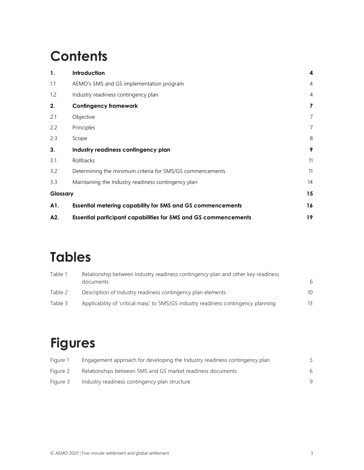# **Contents**

| 1.       | Introduction                                                           | 4              |
|----------|------------------------------------------------------------------------|----------------|
| 1.1      | AEMO's 5MS and GS implementation program                               | $\overline{4}$ |
| 1.2      | Industry readiness contingency plan                                    | $\overline{4}$ |
| 2.       | Confingency framework                                                  | 7              |
| 2.1      | Objective                                                              | 7              |
| 2.2      | Principles                                                             | $\overline{7}$ |
| 2.3      | Scope                                                                  | 8              |
| 3.       | Industry readiness contingency plan                                    | 9              |
| 3.1      | Rollbacks                                                              | 11             |
| 3.2      | Determining the minimum criteria for 5MS/GS commencements              | 11             |
| 3.3      | Maintaining the Industry readiness contingency plan                    | 14             |
| Glossary |                                                                        | 15             |
| A1.      | <b>Essential metering capability for 5MS and GS commencements</b>      | 16             |
| A2.      | <b>Essential participant capabilities for 5MS and GS commencements</b> | 19             |

## Tables

| Table 1 | Relationship between Industry readiness contingency plan and other key readiness<br>documents | 6  |
|---------|-----------------------------------------------------------------------------------------------|----|
| Table 2 | Description of Industry readiness contingency plan elements                                   | 10 |
| Table 3 | Applicability of 'critical mass' to 5MS/GS industry readiness contingency planning            | 13 |

# Figures

| Figure 1 | Engagement approach for developing the Industry readiness contingency plan |   |
|----------|----------------------------------------------------------------------------|---|
| Figure 2 | Relationships between 5MS and GS market readiness documents                | 6 |
| Figure 3 | Industry readiness contingency plan structure                              | q |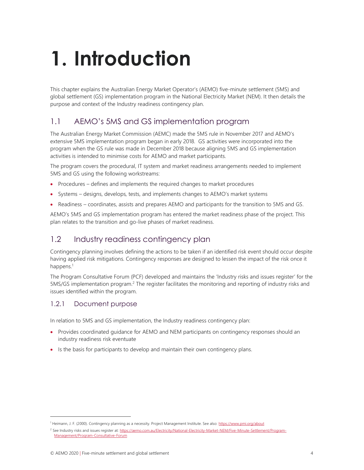# 1. Introduction

This chapter explains the Australian Energy Market Operator's (AEMO) five-minute settlement (5MS) and global settlement (GS) implementation program in the National Electricity Market (NEM). It then details the purpose and context of the Industry readiness contingency plan.

## 1.1 AEMO's 5MS and GS implementation program

The Australian Energy Market Commission (AEMC) made the 5MS rule in November 2017 and AEMO's extensive 5MS implementation program began in early 2018. GS activities were incorporated into the program when the GS rule was made in December 2018 because aligning 5MS and GS implementation activities is intended to minimise costs for AEMO and market participants.

The program covers the procedural, IT system and market readiness arrangements needed to implement 5MS and GS using the following workstreams:

- Procedures defines and implements the required changes to market procedures
- Systems designs, develops, tests, and implements changes to AEMO's market systems
- Readiness coordinates, assists and prepares AEMO and participants for the transition to 5MS and GS.

AEMO's 5MS and GS implementation program has entered the market readiness phase of the project. This plan relates to the transition and go-live phases of market readiness.

### 1.2 Industry readiness contingency plan

Contingency planning involves defining the actions to be taken if an identified risk event should occur despite having applied risk mitigations. Contingency responses are designed to lessen the impact of the risk once it happens.<sup>1</sup>

The Program Consultative Forum (PCF) developed and maintains the 'Industry risks and issues register' for the 5MS/GS implementation program.<sup>2</sup> The register facilitates the monitoring and reporting of industry risks and issues identified within the program.

#### 1.2.1 Document purpose

In relation to 5MS and GS implementation, the Industry readiness contingency plan:

- Provides coordinated guidance for AEMO and NEM participants on contingency responses should an industry readiness risk eventuate
- Is the basis for participants to develop and maintain their own contingency plans.

<sup>&</sup>lt;sup>1</sup> Heimann, J. F. (2000). Contingency planning as a necessity. Project Management Institute. See also: https://www.pmi.org/about

<sup>&</sup>lt;sup>2</sup> See Industry risks and issues register at: https://aemo.com.au/Electricity/National-Electricity-Market-NEM/Five-Minute-Settlement/Program-Management/Program-Consultative-Forum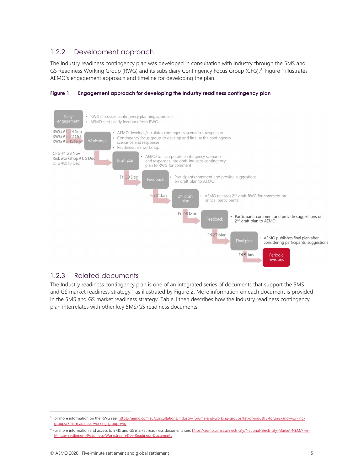#### 1.2.2 Development approach

The Industry readiness contingency plan was developed in consultation with industry through the 5MS and GS Readiness Working Group (RWG) and its subsidiary Contingency Focus Group (CFG).<sup>3</sup> Figure 1 illustrates AEMO's engagement approach and timeline for developing the plan.



#### Figure 1 Engagement approach for developing the Industry readiness contingency plan

#### 1.2.3 Related documents

The Industry readiness contingency plan is one of an integrated series of documents that support the 5MS and GS market readiness strategy,<sup>4</sup> as illustrated by Figure 2. More information on each document is provided in the 5MS and GS market readiness strategy. Table 1 then describes how the Industry readiness contingency plan interrelates with other key 5MS/GS readiness documents.

<sup>&</sup>lt;sup>3</sup> For more information on the RWG see: https://aemo.com.au/consultations/industry-forums-and-working-groups/list-of-industry-forums-and-workinggroups/5ms-readiness-working-group-rwg

<sup>4</sup> For more information and access to 5MS and GS market readiness documents see: https://aemo.com.au/Electricity/National-Electricity-Market-NEM/Five-Minute-Settlement/Readiness-Workstream/Key-Readiness-Documents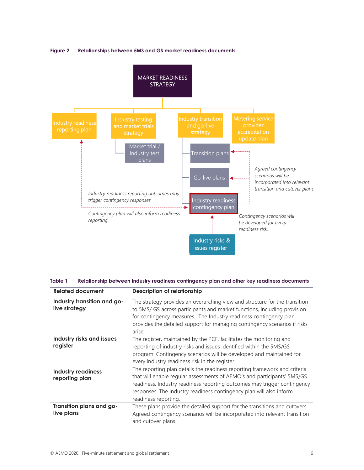

#### Figure 2 Relationships between 5MS and GS market readiness documents

#### Table 1 Relationship between Industry readiness contingency plan and other key readiness documents

| <b>Related document</b>                      | <b>Description of relationship</b>                                                                                                                                                                                                                                                                                              |  |  |  |  |
|----------------------------------------------|---------------------------------------------------------------------------------------------------------------------------------------------------------------------------------------------------------------------------------------------------------------------------------------------------------------------------------|--|--|--|--|
| Industry transition and go-<br>live strategy | The strategy provides an overarching view and structure for the transition<br>to 5MS/ GS across participants and market functions, including provision<br>for contingency measures. The Industry readiness contingency plan<br>provides the detailed support for managing contingency scenarios if risks<br>arise.              |  |  |  |  |
| Industry risks and issues<br>register        | The register, maintained by the PCF, facilitates the monitoring and<br>reporting of industry risks and issues identified within the 5MS/GS<br>program. Contingency scenarios will be developed and maintained for<br>every industry readiness risk in the register.                                                             |  |  |  |  |
| <b>Industry readiness</b><br>reporting plan  | The reporting plan details the readiness reporting framework and criteria<br>that will enable regular assessments of AEMO's and participants' 5MS/GS<br>readiness. Industry readiness reporting outcomes may trigger contingency<br>responses. The Industry readiness contingency plan will also inform<br>readiness reporting. |  |  |  |  |
| Transition plans and go-<br>live plans       | These plans provide the detailed support for the transitions and cutovers.<br>Agreed contingency scenarios will be incorporated into relevant transition<br>and cutover plans.                                                                                                                                                  |  |  |  |  |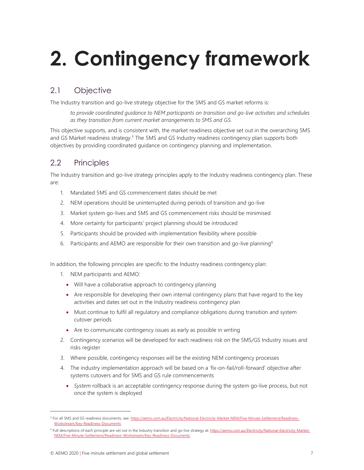# 2. Contingency framework

## 2.1 Objective

The Industry transition and go-live strategy objective for the 5MS and GS market reforms is:

to provide coordinated guidance to NEM participants on transition and go-live activities and schedules as they transition from current market arrangements to 5MS and GS.

This objective supports, and is consistent with, the market readiness objective set out in the overarching 5MS and GS Market readiness strategy.<sup>5</sup> The 5MS and GS Industry readiness contingency plan supports both objectives by providing coordinated guidance on contingency planning and implementation.

## 2.2 Principles

The Industry transition and go-live strategy principles apply to the Industry readiness contingency plan. These are:

- 1. Mandated 5MS and GS commencement dates should be met
- 2. NEM operations should be uninterrupted during periods of transition and go-live
- 3. Market system go-lives and 5MS and GS commencement risks should be minimised
- 4. More certainty for participants' project planning should be introduced
- 5. Participants should be provided with implementation flexibility where possible
- 6. Participants and AEMO are responsible for their own transition and go-live planning<sup>6</sup>

In addition, the following principles are specific to the Industry readiness contingency plan:

- 1. NEM participants and AEMO:
	- Will have a collaborative approach to contingency planning
	- Are responsible for developing their own internal contingency plans that have regard to the key activities and dates set out in the Industry readiness contingency plan
	- Must continue to fulfil all regulatory and compliance obligations during transition and system cutover periods
	- Are to communicate contingency issues as early as possible in writing
- 2. Contingency scenarios will be developed for each readiness risk on the 5MS/GS Industry issues and risks register
- 3. Where possible, contingency responses will be the existing NEM contingency processes
- 4. The industry implementation approach will be based on a 'fix-on-fail/roll-forward' objective after systems cutovers and for 5MS and GS rule commencements
	- System rollback is an acceptable contingency response during the system go-live process, but not once the system is deployed

<sup>&</sup>lt;sup>5</sup> For all 5MS and GS readiness documents, see: https://aemo.com.au/Electricity/National-Electricity-Market-NEM/Five-Minute-Settlement/Readiness-Workstream/Key-Readiness-Documents

<sup>&</sup>lt;sup>6</sup> Full descriptions of each principle are set out in the Industry transition and go-live strategy at: https://aemo.com.au/Electricity/National-Electricity-Market-NEM/Five-Minute-Settlement/Readiness-Workstream/Key-Readiness-Documents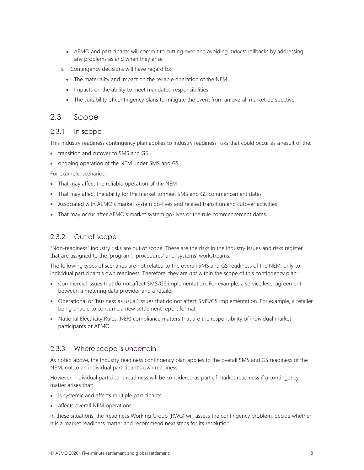- AEMO and participants will commit to cutting over and avoiding *market* rollbacks by addressing any problems as and when they arise
- 5. Contingency decisions will have regard to:
	- The materiality and impact on the reliable operation of the NEM
	- Impacts on the ability to meet mandated responsibilities
	- The suitability of contingency plans to mitigate the event from an overall market perspective

#### 2.3 Scope

#### 2.3.1 In scope

This Industry readiness contingency plan applies to industry readiness risks that could occur as a result of the:

- transition and cutover to 5MS and GS
- ongoing operation of the NEM under 5MS and GS.

For example, scenarios:

- That may affect the reliable operation of the NEM
- That may affect the ability for the market to meet 5MS and GS commencement dates
- Associated with AEMO's market system go-lives and related transition and cutover activities
- That may occur after AEMO's market system go-lives or the rule commencement dates.

#### 2.3.2 Out of scope

"Non-readiness" industry risks are out of scope. These are the risks in the Industry issues and risks register that are assigned to the 'program', 'procedures' and 'systems' workstreams.

The following types of scenarios are not related to the overall 5MS and GS readiness of the NEM, only to individual participant's own readiness. Therefore, they are not within the scope of this contingency plan:

- Commercial issues that do not affect 5MS/GS implementation. For example, a service level agreement between a metering data provider and a retailer
- Operational or 'business as usual' issues that do not affect 5MS/GS implementation. For example, a retailer being unable to consume a new settlement report format
- National Electricity Rules (NER) compliance matters that are the responsibility of individual market participants or AEMO.

#### 2.3.3 Where scope is uncertain

As noted above, the Industry readiness contingency plan applies to the overall 5MS and GS readiness of the NEM, not to an individual participant's own readiness.

However, individual participant readiness will be considered as part of market readiness if a contingency matter arises that:

- is systemic and affects multiple participants
- affects overall NEM operations.

In these situations, the Readiness Working Group (RWG) will assess the contingency problem, decide whether it is a market readiness matter and recommend next steps for its resolution.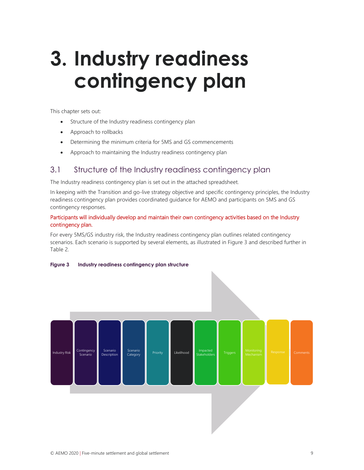# 3. Industry readiness contingency plan

This chapter sets out:

- Structure of the Industry readiness contingency plan
- Approach to rollbacks
- Determining the minimum criteria for 5MS and GS commencements
- Approach to maintaining the Industry readiness contingency plan

### 3.1 Structure of the Industry readiness contingency plan

The Industry readiness contingency plan is set out in the attached spreadsheet.

In keeping with the Transition and go-live strategy objective and specific contingency principles, the Industry readiness contingency plan provides coordinated guidance for AEMO and participants on 5MS and GS contingency responses.

#### Participants will individually develop and maintain their own contingency activities based on the Industry contingency plan.

For every 5MS/GS industry risk, the Industry readiness contingency plan outlines related contingency scenarios. Each scenario is supported by several elements, as illustrated in Figure 3 and described further in Table 2.



#### Figure 3 Industry readiness contingency plan structure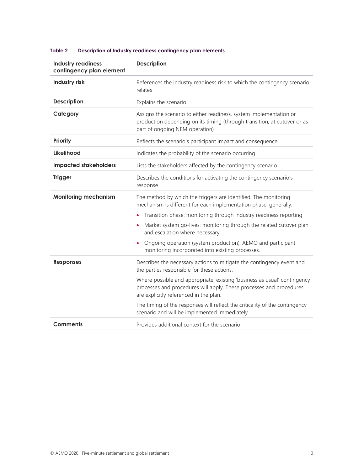| <b>Industry readiness</b><br>contingency plan element | <b>Description</b>                                                                                                                                                                        |  |  |  |  |
|-------------------------------------------------------|-------------------------------------------------------------------------------------------------------------------------------------------------------------------------------------------|--|--|--|--|
| Industry risk                                         | References the industry readiness risk to which the contingency scenario<br>relates                                                                                                       |  |  |  |  |
| <b>Description</b>                                    | Explains the scenario                                                                                                                                                                     |  |  |  |  |
| Category                                              | Assigns the scenario to either readiness, system implementation or<br>production depending on its timing (through transition, at cutover or as<br>part of ongoing NEM operation)          |  |  |  |  |
| <b>Priority</b>                                       | Reflects the scenario's participant impact and consequence                                                                                                                                |  |  |  |  |
| Likelihood                                            | Indicates the probability of the scenario occurring                                                                                                                                       |  |  |  |  |
| <b>Impacted stakeholders</b>                          | Lists the stakeholders affected by the contingency scenario                                                                                                                               |  |  |  |  |
| <b>Trigger</b>                                        | Describes the conditions for activating the contingency scenario's<br>response                                                                                                            |  |  |  |  |
| <b>Monitoring mechanism</b>                           | The method by which the triggers are identified. The monitoring<br>mechanism is different for each implementation phase, generally:                                                       |  |  |  |  |
|                                                       | Transition phase: monitoring through industry readiness reporting                                                                                                                         |  |  |  |  |
|                                                       | Market system go-lives: monitoring through the related cutover plan<br>and escalation where necessary                                                                                     |  |  |  |  |
|                                                       | Ongoing operation (system production): AEMO and participant<br>monitoring incorporated into existing processes.                                                                           |  |  |  |  |
| <b>Responses</b>                                      | Describes the necessary actions to mitigate the contingency event and<br>the parties responsible for these actions.                                                                       |  |  |  |  |
|                                                       | Where possible and appropriate, existing 'business as usual' contingency<br>processes and procedures will apply. These processes and procedures<br>are explicitly referenced in the plan. |  |  |  |  |
|                                                       | The timing of the responses will reflect the criticality of the contingency<br>scenario and will be implemented immediately.                                                              |  |  |  |  |
| Comments                                              | Provides additional context for the scenario                                                                                                                                              |  |  |  |  |

#### Table 2 Description of Industry readiness contingency plan elements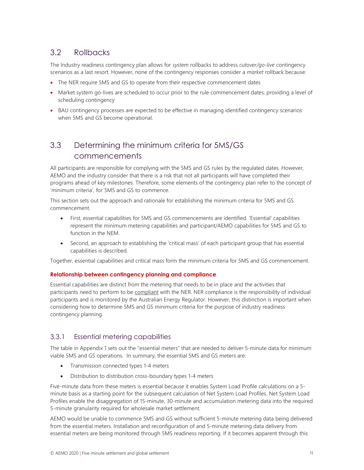### 3.2 Rollbacks

The Industry readiness contingency plan allows for system rollbacks to address cutover/go-live contingency scenarios as a last resort. However, none of the contingency responses consider a *market* rollback because:

- The NER require 5MS and GS to operate from their respective commencement dates
- Market system go-lives are scheduled to occur prior to the rule commencement dates, providing a level of scheduling contingency
- BAU contingency processes are expected to be effective in managing identified contingency scenarios when 5MS and GS become operational.

### 3.3 Determining the minimum criteria for 5MS/GS commencements

All participants are responsible for complying with the 5MS and GS rules by the regulated dates. However, AEMO and the industry consider that there is a risk that not all participants will have completed their programs ahead of key milestones. Therefore, some elements of the contingency plan refer to the concept of 'minimum criteria', for 5MS and GS to commence.

This section sets out the approach and rationale for establishing the minimum criteria for 5MS and GS commencement.

- First, essential capabilities for 5MS and GS commencements are identified. 'Essential' capabilities represent the minimum metering capabilities and participant/AEMO capabilities for 5MS and GS to function in the NEM.
- Second, an approach to establishing the 'critical mass' of each participant group that has essential capabilities is described.

Together, essential capabilities and critical mass form the minimum criteria for 5MS and GS commencement.

#### Relationship between contingency planning and compliance

Essential capabilities are distinct from the metering that needs to be in place and the activities that participants need to perform to be compliant with the NER. NER compliance is the responsibility of individual participants and is monitored by the Australian Energy Regulator. However, this distinction is important when considering how to determine 5MS and GS minimum criteria for the purpose of industry readiness contingency planning.

#### 3.3.1 Essential metering capabilities

The table in Appendix 1 sets out the "essential meters" that are needed to deliver 5-minute data for minimum viable 5MS and GS operations. In summary, the essential 5MS and GS meters are:

- Transmission connected types 1-4 meters
- Distribution to distribution cross-boundary types 1-4 meters

Five-minute data from these meters is essential because it enables System Load Profile calculations on a 5 minute basis as a starting point for the subsequent calculation of Net System Load Profiles. Net System Load Profiles enable the disaggregation of 15-minute, 30-minute and accumulation metering data into the required 5-minute granularity required for wholesale market settlement.

AEMO would be unable to commence 5MS and GS without sufficient 5-minute metering data being delivered from the essential meters. Installation and reconfiguration of and 5-minute metering data delivery from essential meters are being monitored through 5MS readiness reporting. If it becomes apparent through this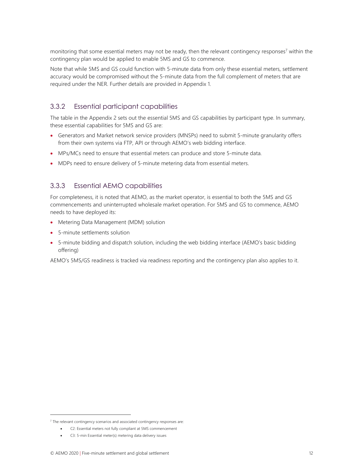monitoring that some essential meters may not be ready, then the relevant contingency responses<sup>7</sup> within the contingency plan would be applied to enable 5MS and GS to commence.

Note that while 5MS and GS could function with 5-minute data from only these essential meters, settlement accuracy would be compromised without the 5-minute data from the full complement of meters that are required under the NER. Further details are provided in Appendix 1.

#### 3.3.2 Essential participant capabilities

The table in the Appendix 2 sets out the essential 5MS and GS capabilities by participant type. In summary, these essential capabilities for 5MS and GS are:

- Generators and Market network service providers (MNSPs) need to submit 5-minute granularity offers from their own systems via FTP, API or through AEMO's web bidding interface.
- MPs/MCs need to ensure that essential meters can produce and store 5-minute data.
- MDPs need to ensure delivery of 5-minute metering data from essential meters.

#### 3.3.3 Essential AEMO capabilities

For completeness, it is noted that AEMO, as the market operator, is essential to both the 5MS and GS commencements and uninterrupted wholesale market operation. For 5MS and GS to commence, AEMO needs to have deployed its:

- Metering Data Management (MDM) solution
- 5-minute settlements solution
- 5-minute bidding and dispatch solution, including the web bidding interface (AEMO's basic bidding offering)

AEMO's 5MS/GS readiness is tracked via readiness reporting and the contingency plan also applies to it.

<sup>&</sup>lt;sup>7</sup> The relevant contingency scenarios and associated contingency responses are:

C2: Essential meters not fully compliant at 5MS commencement

C3: 5-min Essential meter(s) metering data delivery issues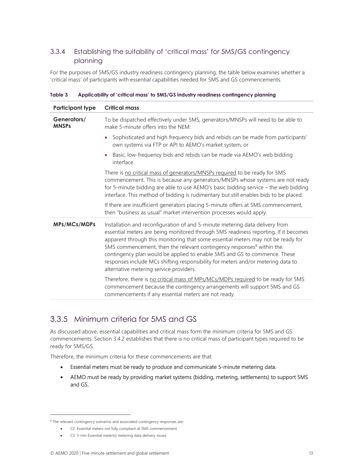### 3.3.4 Establishing the suitability of 'critical mass' for 5MS/GS contingency planning

For the purposes of 5MS/GS industry readiness contingency planning, the table below examines whether a 'critical mass' of participants with essential capabilities needed for 5MS and GS commencements.

| <b>Participant type</b>     | <b>Critical mass</b>                                                                                                                                                                                                                                                                                                                                                                                                                                                                                                                                     |
|-----------------------------|----------------------------------------------------------------------------------------------------------------------------------------------------------------------------------------------------------------------------------------------------------------------------------------------------------------------------------------------------------------------------------------------------------------------------------------------------------------------------------------------------------------------------------------------------------|
| Generators/<br><b>MNSPs</b> | To be dispatched effectively under 5MS, generators/MNSPs will need to be able to<br>make 5-minute offers into the NEM:                                                                                                                                                                                                                                                                                                                                                                                                                                   |
|                             | Sophisticated and high frequency bids and rebids can be made from participants'<br>٠<br>own systems via FTP or API to AEMO's market system, or                                                                                                                                                                                                                                                                                                                                                                                                           |
|                             | Basic, low-frequency bids and rebids can be made via AEMO's web bidding<br>interface.                                                                                                                                                                                                                                                                                                                                                                                                                                                                    |
|                             | There is no critical mass of generators/MNSPs required to be ready for 5MS<br>commencement. This is because any generators/MNSPs whose systems are not ready<br>for 5-minute bidding are able to use AEMO's basic bidding service - the web bidding<br>interface. This method of bidding is rudimentary but still enables bids to be placed.                                                                                                                                                                                                             |
|                             | If there are insufficient generators placing 5-minute offers at 5MS commencement,<br>then "business as usual" market intervention processes would apply.                                                                                                                                                                                                                                                                                                                                                                                                 |
| MPs/MCs/MDPs                | Installation and reconfiguration of and 5-minute metering data delivery from<br>essential meters are being monitored through 5MS readiness reporting. If it becomes<br>apparent through this monitoring that some essential meters may not be ready for<br>5MS commencement, then the relevant contingency responses <sup>8</sup> within the<br>contingency plan would be applied to enable 5MS and GS to commence. These<br>responses include MCs shifting responsibility for meters and/or metering data to<br>alternative metering service providers. |
|                             | Therefore, there is no critical mass of MPs/MCs/MDPs required to be ready for 5MS<br>commencement because the contingency arrangements will support 5MS and GS<br>commencements if any essential meters are not ready.                                                                                                                                                                                                                                                                                                                                   |

Table 3 Applicability of 'critical mass' to 5MS/GS industry readiness contingency planning

### 3.3.5 Minimum criteria for 5MS and GS

As discussed above, essential capabilities and critical mass form the minimum criteria for 5MS and GS commencements. Section 3.4.2 establishes that there is no critical mass of participant types required to be ready for 5MS/GS.

Therefore, the minimum criteria for these commencements are that:

- Essential meters must be ready to produce and communicate 5-minute metering data.
- AEMO must be ready by providing market systems (bidding, metering, settlements) to support 5MS and GS.

<sup>&</sup>lt;sup>8</sup> The relevant contingency scenarios and associated contingency responses are:

C2: Essential meters not fully compliant at 5MS commencement

C3: 5-min Essential meter(s) metering data delivery issues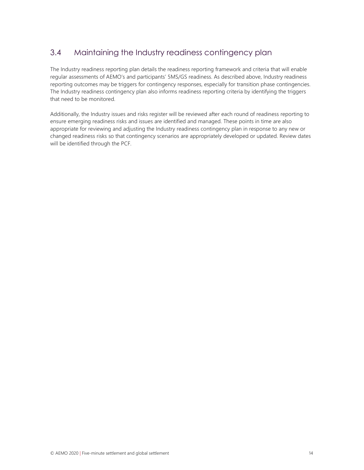### 3.4 Maintaining the Industry readiness contingency plan

The Industry readiness reporting plan details the readiness reporting framework and criteria that will enable regular assessments of AEMO's and participants' 5MS/GS readiness. As described above, Industry readiness reporting outcomes may be triggers for contingency responses, especially for transition phase contingencies. The Industry readiness contingency plan also informs readiness reporting criteria by identifying the triggers that need to be monitored.

Additionally, the Industry issues and risks register will be reviewed after each round of readiness reporting to ensure emerging readiness risks and issues are identified and managed. These points in time are also appropriate for reviewing and adjusting the Industry readiness contingency plan in response to any new or changed readiness risks so that contingency scenarios are appropriately developed or updated. Review dates will be identified through the PCF.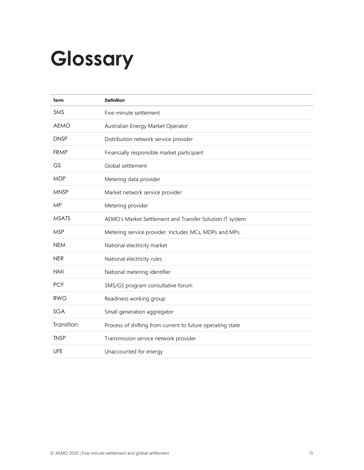# Glossary

| <b>Term</b>  | <b>Definition</b>                                          |
|--------------|------------------------------------------------------------|
| 5MS          | Five-minute settlement                                     |
| <b>AEMO</b>  | Australian Energy Market Operator                          |
| <b>DNSP</b>  | Distribution network service provider                      |
| <b>FRMP</b>  | Financially responsible market participant                 |
| <b>GS</b>    | Global settlement                                          |
| <b>MDP</b>   | Metering data provider                                     |
| <b>MNSP</b>  | Market network service provider                            |
| <b>MP</b>    | Metering provider                                          |
| <b>MSATS</b> | AEMO's Market Settlement and Transfer Solution IT system   |
| <b>MSP</b>   | Metering service provider. Includes MCs, MDPs and MPs.     |
| <b>NEM</b>   | National electricity market                                |
| <b>NER</b>   | National electricity rules                                 |
| <b>NMI</b>   | National metering identifier                               |
| <b>PCF</b>   | 5MS/GS program consultative forum                          |
| <b>RWG</b>   | Readiness working group                                    |
| <b>SGA</b>   | Small generation aggregator                                |
| Transition   | Process of shifting from current to future operating state |
| <b>TNSP</b>  | Transmission service network provider                      |
| UFE          | Unaccounted for energy                                     |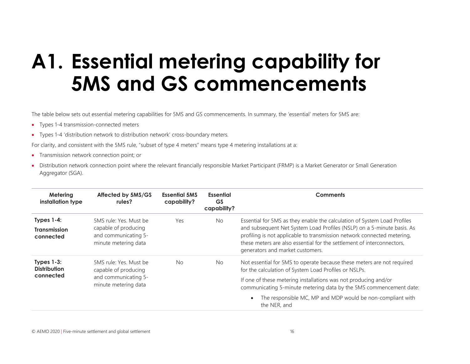# A1. Essential metering capability for 5MS and GS commencements

The table below sets out essential metering capabilities for 5MS and GS commencements. In summary, the 'essential' meters for 5MS are:

- Types 1-4 transmission-connected meters
- Types 1-4 'distribution network to distribution network' cross-boundary meters.

For clarity, and consistent with the 5MS rule, "subset of type 4 meters" means type 4 metering installations at a:

- Transmission network connection point; or
- Distribution network connection point where the relevant financially responsible Market Participant (FRMP) is a Market Generator or Small Generation Aggregator (SGA).

| Metering<br>installation type                     | Affected by 5MS/GS<br>rules?                                                                   | <b>Essential 5MS</b><br>capability? | Essential<br><b>GS</b><br>capability?                                                                                           | <b>Comments</b>                                                                                                                                                                                                                                                                                                                             |  |
|---------------------------------------------------|------------------------------------------------------------------------------------------------|-------------------------------------|---------------------------------------------------------------------------------------------------------------------------------|---------------------------------------------------------------------------------------------------------------------------------------------------------------------------------------------------------------------------------------------------------------------------------------------------------------------------------------------|--|
| Types $1-4$ :<br><b>Transmission</b><br>connected | 5MS rule: Yes. Must be<br>capable of producing<br>and communicating 5-<br>minute metering data | Yes                                 | <b>No</b>                                                                                                                       | Essential for 5MS as they enable the calculation of System Load Profiles<br>and subsequent Net System Load Profiles (NSLP) on a 5-minute basis. As<br>profiling is not applicable to transmission network connected metering,<br>these meters are also essential for the settlement of interconnectors,<br>generators and market customers. |  |
| Types $1-3$ :<br><b>Distribution</b><br>connected | <b>No</b><br>5MS rule: Yes. Must be<br>N <sub>o</sub><br>capable of producing                  |                                     | Not essential for 5MS to operate because these meters are not required<br>for the calculation of System Load Profiles or NSLPs. |                                                                                                                                                                                                                                                                                                                                             |  |
|                                                   | and communicating 5-<br>minute metering data                                                   |                                     |                                                                                                                                 | If one of these metering installations was not producing and/or<br>communicating 5-minute metering data by the 5MS commencement date:                                                                                                                                                                                                       |  |
|                                                   |                                                                                                |                                     |                                                                                                                                 | The responsible MC, MP and MDP would be non-compliant with<br>the NER, and                                                                                                                                                                                                                                                                  |  |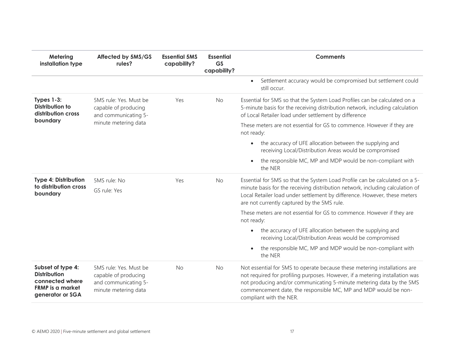| Metering<br>installation type                                                                              | Affected by 5MS/GS<br>rules?                                                                   | <b>Essential 5MS</b><br>capability? | <b>Essential</b><br><b>GS</b><br>capability? | <b>Comments</b>                                                                                                                                                                                                                                                                                                                 |  |  |
|------------------------------------------------------------------------------------------------------------|------------------------------------------------------------------------------------------------|-------------------------------------|----------------------------------------------|---------------------------------------------------------------------------------------------------------------------------------------------------------------------------------------------------------------------------------------------------------------------------------------------------------------------------------|--|--|
|                                                                                                            |                                                                                                |                                     |                                              | Settlement accuracy would be compromised but settlement could<br>$\bullet$<br>still occur.                                                                                                                                                                                                                                      |  |  |
| Types 1-3:<br><b>Distribution to</b><br>distribution cross                                                 | 5MS rule: Yes. Must be<br>capable of producing<br>and communicating 5-                         | Yes                                 | <b>No</b>                                    | Essential for 5MS so that the System Load Profiles can be calculated on a<br>5-minute basis for the receiving distribution network, including calculation<br>of Local Retailer load under settlement by difference                                                                                                              |  |  |
| boundary                                                                                                   | minute metering data                                                                           |                                     |                                              | These meters are not essential for GS to commence. However if they are<br>not ready:                                                                                                                                                                                                                                            |  |  |
|                                                                                                            |                                                                                                |                                     |                                              | the accuracy of UFE allocation between the supplying and<br>$\bullet$<br>receiving Local/Distribution Areas would be compromised                                                                                                                                                                                                |  |  |
|                                                                                                            |                                                                                                |                                     |                                              | the responsible MC, MP and MDP would be non-compliant with<br>the NER                                                                                                                                                                                                                                                           |  |  |
| <b>Type 4: Distribution</b><br>to distribution cross<br>boundary                                           | 5MS rule: No<br>GS rule: Yes                                                                   | Yes                                 | <b>No</b>                                    | Essential for 5MS so that the System Load Profile can be calculated on a 5-<br>minute basis for the receiving distribution network, including calculation of<br>Local Retailer load under settlement by difference. However, these meters<br>are not currently captured by the 5MS rule.                                        |  |  |
|                                                                                                            |                                                                                                |                                     |                                              | These meters are not essential for GS to commence. However if they are<br>not ready:                                                                                                                                                                                                                                            |  |  |
|                                                                                                            |                                                                                                |                                     |                                              | the accuracy of UFE allocation between the supplying and<br>$\bullet$<br>receiving Local/Distribution Areas would be compromised                                                                                                                                                                                                |  |  |
|                                                                                                            |                                                                                                |                                     |                                              | the responsible MC, MP and MDP would be non-compliant with<br>the NER                                                                                                                                                                                                                                                           |  |  |
| Subset of type 4:<br><b>Distribution</b><br>connected where<br><b>FRMP</b> is a market<br>generator or SGA | 5MS rule: Yes. Must be<br>capable of producing<br>and communicating 5-<br>minute metering data | <b>No</b>                           | <b>No</b>                                    | Not essential for 5MS to operate because these metering installations are<br>not required for profiling purposes. However, if a metering installation was<br>not producing and/or communicating 5-minute metering data by the 5MS<br>commencement date, the responsible MC, MP and MDP would be non-<br>compliant with the NER. |  |  |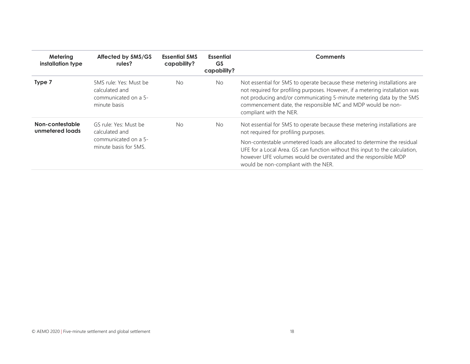| Metering<br>installation type      | Affected by 5MS/GS<br>rules?                                                             | <b>Essential 5MS</b><br>capability? | Essential<br>GS<br>capability? | Comments                                                                                                                                                                                                                                                                                                                    |  |
|------------------------------------|------------------------------------------------------------------------------------------|-------------------------------------|--------------------------------|-----------------------------------------------------------------------------------------------------------------------------------------------------------------------------------------------------------------------------------------------------------------------------------------------------------------------------|--|
| Type 7                             | 5MS rule: Yes: Must be<br>calculated and<br>communicated on a 5-<br>minute basis         | <b>No</b>                           | No.                            | Not essential for 5MS to operate because these metering installations are<br>not required for profiling purposes. However, if a metering installation was<br>not producing and/or communicating 5-minute metering data by the 5MS<br>commencement date, the responsible MC and MDP would be non-<br>compliant with the NER. |  |
| Non-contestable<br>unmetered loads | GS rule: Yes: Must be<br>calculated and<br>communicated on a 5-<br>minute basis for 5MS. | <b>No</b>                           | <b>No</b>                      | Not essential for 5MS to operate because these metering installations are<br>not required for profiling purposes.                                                                                                                                                                                                           |  |
|                                    |                                                                                          |                                     |                                | Non-contestable unmetered loads are allocated to determine the residual<br>UFE for a Local Area. GS can function without this input to the calculation,<br>however UFE volumes would be overstated and the responsible MDP<br>would be non-compliant with the NER.                                                          |  |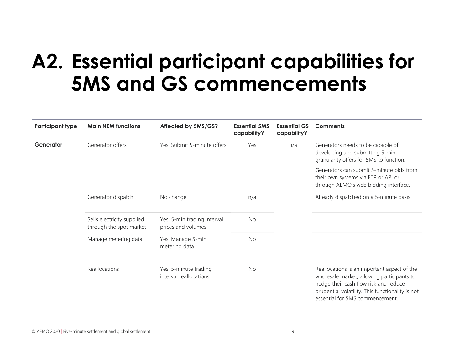# A2. Essential participant capabilities for 5MS and GS commencements

| <b>Participant type</b> | <b>Main NEM functions</b>                             | Affected by 5MS/GS?                               | <b>Essential 5MS</b><br>capability? | <b>Essential GS</b><br>capability? | <b>Comments</b>                                                                                                                                                                                                           |
|-------------------------|-------------------------------------------------------|---------------------------------------------------|-------------------------------------|------------------------------------|---------------------------------------------------------------------------------------------------------------------------------------------------------------------------------------------------------------------------|
| Generator               | Generator offers                                      | Yes: Submit 5-minute offers                       | Yes                                 | n/a                                | Generators needs to be capable of<br>developing and submitting 5-min<br>granularity offers for 5MS to function.                                                                                                           |
|                         |                                                       |                                                   |                                     |                                    | Generators can submit 5-minute bids from<br>their own systems via FTP or API or<br>through AEMO's web bidding interface.                                                                                                  |
|                         | Generator dispatch                                    | No change                                         | n/a                                 |                                    | Already dispatched on a 5-minute basis                                                                                                                                                                                    |
|                         | Sells electricity supplied<br>through the spot market | Yes: 5-min trading interval<br>prices and volumes | No                                  |                                    |                                                                                                                                                                                                                           |
|                         | Manage metering data                                  | Yes: Manage 5-min<br>metering data                | <b>No</b>                           |                                    |                                                                                                                                                                                                                           |
|                         | Reallocations                                         | Yes: 5-minute trading<br>interval reallocations   | <b>No</b>                           |                                    | Reallocations is an important aspect of the<br>wholesale market, allowing participants to<br>hedge their cash flow risk and reduce<br>prudential volatility. This functionality is not<br>essential for 5MS commencement. |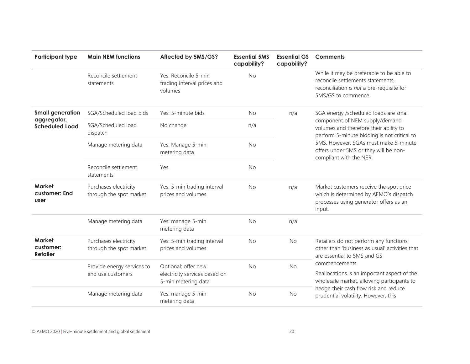| <b>Participant type</b>                                         | <b>Main NEM functions</b>                        | Affected by 5MS/GS?                                                         | <b>Essential 5MS</b><br>capability? | <b>Essential GS</b><br>capability? | <b>Comments</b>                                                                                                                                                                                                                                                               |
|-----------------------------------------------------------------|--------------------------------------------------|-----------------------------------------------------------------------------|-------------------------------------|------------------------------------|-------------------------------------------------------------------------------------------------------------------------------------------------------------------------------------------------------------------------------------------------------------------------------|
|                                                                 | Reconcile settlement<br>statements               | Yes: Reconcile 5-min<br>trading interval prices and<br>volumes              | <b>No</b>                           |                                    | While it may be preferable to be able to<br>reconcile settlements statements,<br>reconciliation is not a pre-requisite for<br>5MS/GS to commence.                                                                                                                             |
| <b>Small generation</b><br>aggregator,<br><b>Scheduled Load</b> | SGA/Scheduled load bids                          | Yes: 5-minute bids                                                          | <b>No</b>                           | n/a                                | SGA energy /scheduled loads are small<br>component of NEM supply/demand<br>volumes and therefore their ability to<br>perform 5-minute bidding is not critical to<br>5MS. However, SGAs must make 5-minute<br>offers under 5MS or they will be non-<br>compliant with the NER. |
|                                                                 | SGA/Scheduled load<br>dispatch                   | No change                                                                   | n/a                                 |                                    |                                                                                                                                                                                                                                                                               |
|                                                                 | Manage metering data                             | Yes: Manage 5-min<br>metering data                                          | <b>No</b>                           |                                    |                                                                                                                                                                                                                                                                               |
|                                                                 | Reconcile settlement<br>statements               | Yes                                                                         | <b>No</b>                           |                                    |                                                                                                                                                                                                                                                                               |
| <b>Market</b><br>customer: End<br><b>user</b>                   | Purchases electricity<br>through the spot market | Yes: 5-min trading interval<br>prices and volumes                           | <b>No</b>                           | n/a                                | Market customers receive the spot price<br>which is determined by AEMO's dispatch<br>processes using generator offers as an<br>input.                                                                                                                                         |
|                                                                 | Manage metering data                             | Yes: manage 5-min<br>metering data                                          | <b>No</b>                           | n/a                                |                                                                                                                                                                                                                                                                               |
| <b>Market</b><br>customer:<br><b>Retailer</b>                   | Purchases electricity<br>through the spot market | Yes: 5-min trading interval<br>prices and volumes                           | <b>No</b>                           | No                                 | Retailers do not perform any functions<br>other than 'business as usual' activities that<br>are essential to 5MS and GS                                                                                                                                                       |
|                                                                 | Provide energy services to<br>end use customers  | Optional: offer new<br>electricity services based on<br>5-min metering data | <b>No</b>                           | <b>No</b>                          | commencements.<br>Reallocations is an important aspect of the<br>wholesale market, allowing participants to                                                                                                                                                                   |
|                                                                 | Manage metering data                             | Yes: manage 5-min<br>metering data                                          | <b>No</b>                           | <b>No</b>                          | hedge their cash flow risk and reduce<br>prudential volatility. However, this                                                                                                                                                                                                 |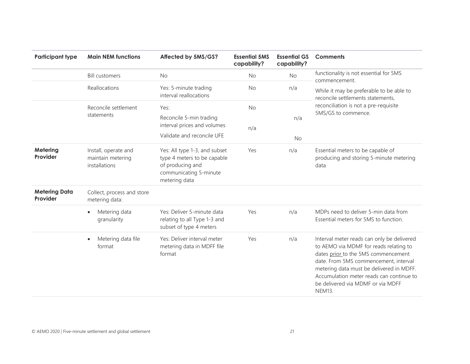| <b>Participant type</b>          | <b>Main NEM functions</b>                                  | Affected by 5MS/GS?                                                                                                         | <b>Essential 5MS</b><br>capability? | <b>Essential GS</b><br>capability? | <b>Comments</b>                                                                                                                                                                                                                                                                                                    |
|----------------------------------|------------------------------------------------------------|-----------------------------------------------------------------------------------------------------------------------------|-------------------------------------|------------------------------------|--------------------------------------------------------------------------------------------------------------------------------------------------------------------------------------------------------------------------------------------------------------------------------------------------------------------|
|                                  | <b>Bill customers</b>                                      | <b>No</b>                                                                                                                   | <b>No</b>                           | No                                 | functionality is not essential for 5MS<br>commencement.                                                                                                                                                                                                                                                            |
|                                  | Reallocations                                              | Yes: 5-minute trading<br>interval reallocations                                                                             | No                                  | n/a                                | While it may be preferable to be able to<br>reconcile settlements statements,                                                                                                                                                                                                                                      |
|                                  | Reconcile settlement                                       | Yes:                                                                                                                        | <b>No</b>                           |                                    | reconciliation is not a pre-requisite                                                                                                                                                                                                                                                                              |
|                                  | statements                                                 | Reconcile 5-min trading<br>interval prices and volumes<br>Validate and reconcile UFE                                        | n/a                                 | n/a<br><b>No</b>                   | 5MS/GS to commence.                                                                                                                                                                                                                                                                                                |
| Metering<br>Provider             | Install, operate and<br>maintain metering<br>installations | Yes: All type 1-3, and subset<br>type 4 meters to be capable<br>of producing and<br>communicating 5-minute<br>metering data | Yes                                 | n/a                                | Essential meters to be capable of<br>producing and storing 5-minute metering<br>data                                                                                                                                                                                                                               |
| <b>Metering Data</b><br>Provider | Collect, process and store<br>metering data:               |                                                                                                                             |                                     |                                    |                                                                                                                                                                                                                                                                                                                    |
|                                  | Metering data<br>$\bullet$<br>granularity                  | Yes: Deliver 5-minute data<br>relating to all Type 1-3 and<br>subset of type 4 meters                                       | Yes                                 | n/a                                | MDPs need to deliver 5-min data from<br>Essential meters for 5MS to function.                                                                                                                                                                                                                                      |
|                                  | Metering data file<br>$\bullet$<br>format                  | Yes: Deliver interval meter<br>metering data in MDFF file<br>format                                                         | Yes                                 | n/a                                | Interval meter reads can only be delivered<br>to AEMO via MDMF for reads relating to<br>dates prior to the 5MS commencement<br>date. From 5MS commencement, interval<br>metering data must be delivered in MDFF.<br>Accumulation meter reads can continue to<br>be delivered via MDMF or via MDFF<br><b>NEM13.</b> |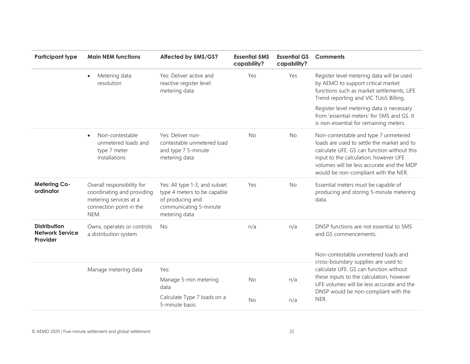| <b>Participant type</b>                                   | <b>Main NEM functions</b>                                                                                             | Affected by 5MS/GS?                                                                                                         | <b>Essential 5MS</b><br>capability? | <b>Essential GS</b><br>capability? | <b>Comments</b>                                                                                                                                                                                                                                                 |
|-----------------------------------------------------------|-----------------------------------------------------------------------------------------------------------------------|-----------------------------------------------------------------------------------------------------------------------------|-------------------------------------|------------------------------------|-----------------------------------------------------------------------------------------------------------------------------------------------------------------------------------------------------------------------------------------------------------------|
|                                                           | Metering data<br>$\bullet$<br>resolution                                                                              | Yes: Deliver active and<br>reactive register level<br>metering data                                                         | Yes                                 | Yes                                | Register level metering data will be used<br>by AEMO to support critical market<br>functions such as market settlements, UFE<br>Trend reporting and VIC TUoS Billing.                                                                                           |
|                                                           |                                                                                                                       |                                                                                                                             |                                     |                                    | Register level metering data is necessary<br>from 'essential meters' for 5MS and GS. It<br>is non-essential for remaining meters.                                                                                                                               |
|                                                           | Non-contestable<br>$\bullet$<br>unmetered loads and<br>type 7 meter<br>installations                                  | Yes: Deliver non-<br>contestable unmetered load<br>and type 7 5-minute<br>metering data                                     | <b>No</b>                           | <b>No</b>                          | Non-contestable and type 7 unmetered<br>loads are used to settle the market and to<br>calculate UFE. GS can function without this<br>input to the calculation, however UFE<br>volumes will be less accurate and the MDP<br>would be non-compliant with the NER. |
| <b>Metering Co-</b><br>ordinator                          | Overall responsibility for<br>coordinating and providing<br>metering services at a<br>connection point in the<br>NEM. | Yes: All type 1-3, and subset<br>type 4 meters to be capable<br>of producing and<br>communicating 5-minute<br>metering data | Yes                                 | <b>No</b>                          | Essential meters must be capable of<br>producing and storing 5-minute metering<br>data.                                                                                                                                                                         |
| <b>Distribution</b><br><b>Network Service</b><br>Provider | Owns, operates or controls<br>a distribution system                                                                   | <b>No</b>                                                                                                                   | n/a                                 | n/a                                | DNSP functions are not essential to 5MS<br>and GS commencements.                                                                                                                                                                                                |
|                                                           |                                                                                                                       |                                                                                                                             |                                     |                                    | Non-contestable unmetered loads and                                                                                                                                                                                                                             |
|                                                           | Manage metering data                                                                                                  | Yes:                                                                                                                        |                                     |                                    | cross-boundary supplies are used to<br>calculate UFE. GS can function without                                                                                                                                                                                   |
|                                                           |                                                                                                                       | Manage 5-min metering<br>data                                                                                               | <b>No</b>                           | n/a                                | these inputs to the calculation, however<br>UFE volumes will be less accurate and the<br>DNSP would be non-compliant with the                                                                                                                                   |
|                                                           |                                                                                                                       | Calculate Type 7 loads on a<br>5-minute basis.                                                                              | No                                  | n/a                                | NER.                                                                                                                                                                                                                                                            |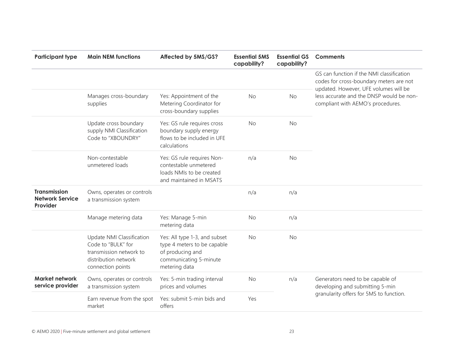| <b>Participant type</b>                                   | <b>Main NEM functions</b>                                                                                               | Affected by 5MS/GS?                                                                                                         | <b>Essential 5MS</b><br>capability? | <b>Essential GS</b><br>capability? | <b>Comments</b>                                                                                                                                                                                                |
|-----------------------------------------------------------|-------------------------------------------------------------------------------------------------------------------------|-----------------------------------------------------------------------------------------------------------------------------|-------------------------------------|------------------------------------|----------------------------------------------------------------------------------------------------------------------------------------------------------------------------------------------------------------|
|                                                           |                                                                                                                         |                                                                                                                             |                                     |                                    | GS can function if the NMI classification<br>codes for cross-boundary meters are not<br>updated. However, UFE volumes will be<br>less accurate and the DNSP would be non-<br>compliant with AEMO's procedures. |
|                                                           | Manages cross-boundary<br>supplies                                                                                      | Yes: Appointment of the<br>Metering Coordinator for<br>cross-boundary supplies                                              | <b>No</b>                           | <b>No</b>                          |                                                                                                                                                                                                                |
|                                                           | Update cross boundary<br>supply NMI Classification<br>Code to "XBOUNDRY"                                                | Yes: GS rule requires cross<br>boundary supply energy<br>flows to be included in UFE<br>calculations                        | No                                  | <b>No</b>                          |                                                                                                                                                                                                                |
|                                                           | Non-contestable<br>unmetered loads                                                                                      | Yes: GS rule requires Non-<br>contestable unmetered<br>loads NMIs to be created<br>and maintained in MSATS                  | n/a                                 | <b>No</b>                          |                                                                                                                                                                                                                |
| <b>Transmission</b><br><b>Network Service</b><br>Provider | Owns, operates or controls<br>a transmission system                                                                     |                                                                                                                             | n/a                                 | n/a                                |                                                                                                                                                                                                                |
|                                                           | Manage metering data                                                                                                    | Yes: Manage 5-min<br>metering data                                                                                          | <b>No</b>                           | n/a                                |                                                                                                                                                                                                                |
|                                                           | Update NMI Classification<br>Code to "BULK" for<br>transmission network to<br>distribution network<br>connection points | Yes: All type 1-3, and subset<br>type 4 meters to be capable<br>of producing and<br>communicating 5-minute<br>metering data | <b>No</b>                           | <b>No</b>                          |                                                                                                                                                                                                                |
| Market network<br>service provider                        | Owns, operates or controls<br>a transmission system                                                                     | Yes: 5-min trading interval<br>prices and volumes                                                                           | <b>No</b>                           | n/a                                | Generators need to be capable of<br>developing and submitting 5-min                                                                                                                                            |
|                                                           | Earn revenue from the spot<br>market                                                                                    | Yes: submit 5-min bids and<br>offers                                                                                        | Yes                                 |                                    | granularity offers for 5MS to function.                                                                                                                                                                        |